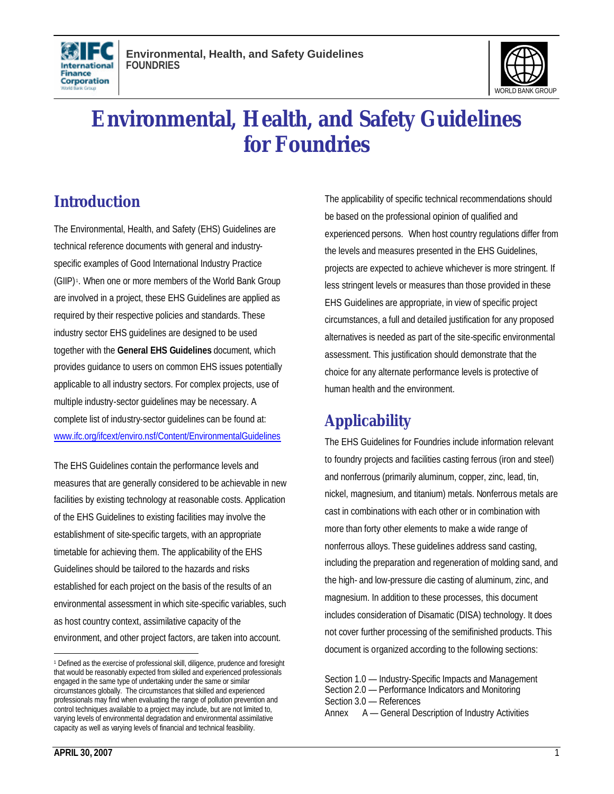



# **Environmental, Health, and Safety Guidelines for Foundries**

# **Introduction**

The Environmental, Health, and Safety (EHS) Guidelines are technical reference documents with general and industryspecific examples of Good International Industry Practice (GIIP) <sup>1</sup> . When one or more members of the World Bank Group are involved in a project, these EHS Guidelines are applied as required by their respective policies and standards. These industry sector EHS guidelines are designed to be used together with the **General EHS Guidelines** document, which provides guidance to users on common EHS issues potentially applicable to all industry sectors. For complex projects, use of multiple industry-sector guidelines may be necessary. A complete list of industry-sector guidelines can be found at: www.ifc.org/ifcext/enviro.nsf/Content/EnvironmentalGuidelines

The EHS Guidelines contain the performance levels and measures that are generally considered to be achievable in new facilities by existing technology at reasonable costs. Application of the EHS Guidelines to existing facilities may involve the establishment of site-specific targets, with an appropriate timetable for achieving them. The applicability of the EHS Guidelines should be tailored to the hazards and risks established for each project on the basis of the results of an environmental assessment in which site-specific variables, such as host country context, assimilative capacity of the environment, and other project factors, are taken into account.

The applicability of specific technical recommendations should be based on the professional opinion of qualified and experienced persons. When host country regulations differ from the levels and measures presented in the EHS Guidelines, projects are expected to achieve whichever is more stringent. If less stringent levels or measures than those provided in these EHS Guidelines are appropriate, in view of specific project circumstances, a full and detailed justification for any proposed alternatives is needed as part of the site-specific environmental assessment. This justification should demonstrate that the choice for any alternate performance levels is protective of human health and the environment.

# **Applicability**

The EHS Guidelines for Foundries include information relevant to foundry projects and facilities casting ferrous (iron and steel) and nonferrous (primarily aluminum, copper, zinc, lead, tin, nickel, magnesium, and titanium) metals. Nonferrous metals are cast in combinations with each other or in combination with more than forty other elements to make a wide range of nonferrous alloys. These guidelines address sand casting, including the preparation and regeneration of molding sand, and the high- and low-pressure die casting of aluminum, zinc, and magnesium. In addition to these processes, this document includes consideration of Disamatic (DISA) technology. It does not cover further processing of the semifinished products. This document is organized according to the following sections:

l

<sup>1</sup> Defined as the exercise of professional skill, diligence, prudence and foresight that would be reasonably expected from skilled and experienced professionals engaged in the same type of undertaking under the same or similar circumstances globally. The circumstances that skilled and experienced professionals may find when evaluating the range of pollution prevention and control techniques available to a project may include, but are not limited to, varying levels of environmental degradation and environmental assimilative capacity as well as varying levels of financial and technical feasibility.

Section 1.0 — Industry-Specific Impacts and Management Section 2.0 — Performance Indicators and Monitoring Section 3.0 — References Annex A — General Description of Industry Activities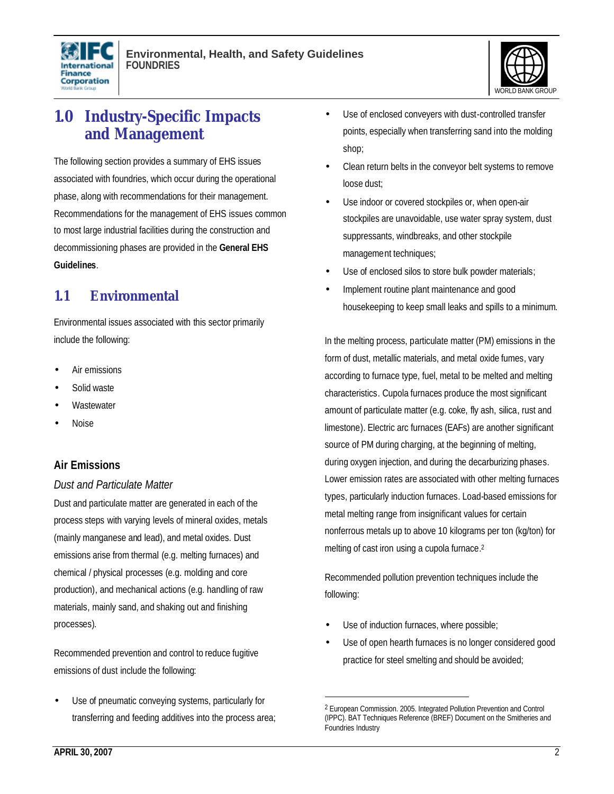



# **1.0 Industry-Specific Impacts and Management**

The following section provides a summary of EHS issues associated with foundries, which occur during the operational phase, along with recommendations for their management. Recommendations for the management of EHS issues common to most large industrial facilities during the construction and decommissioning phases are provided in the **General EHS Guidelines**.

# **1.1 Environmental**

Environmental issues associated with this sector primarily include the following:

- Air emissions
- Solid waste
- **Wastewater**
- Noise

## **Air Emissions**

#### *Dust and Particulate Matter*

Dust and particulate matter are generated in each of the process steps with varying levels of mineral oxides, metals (mainly manganese and lead), and metal oxides. Dust emissions arise from thermal (e.g. melting furnaces) and chemical / physical processes (e.g. molding and core production), and mechanical actions (e.g. handling of raw materials, mainly sand, and shaking out and finishing processes).

Recommended prevention and control to reduce fugitive emissions of dust include the following:

Use of pneumatic conveying systems, particularly for transferring and feeding additives into the process area;

- Use of enclosed conveyers with dust-controlled transfer points, especially when transferring sand into the molding shop;
- Clean return belts in the conveyor belt systems to remove loose dust;
- Use indoor or covered stockpiles or, when open-air stockpiles are unavoidable, use water spray system, dust suppressants, windbreaks, and other stockpile management techniques;
- Use of enclosed silos to store bulk powder materials;
- Implement routine plant maintenance and good housekeeping to keep small leaks and spills to a minimum.

In the melting process, particulate matter (PM) emissions in the form of dust, metallic materials, and metal oxide fumes, vary according to furnace type, fuel, metal to be melted and melting characteristics. Cupola furnaces produce the most significant amount of particulate matter (e.g. coke, fly ash, silica, rust and limestone). Electric arc furnaces (EAFs) are another significant source of PM during charging, at the beginning of melting, during oxygen injection, and during the decarburizing phases. Lower emission rates are associated with other melting furnaces types, particularly induction furnaces. Load-based emissions for metal melting range from insignificant values for certain nonferrous metals up to above 10 kilograms per ton (kg/ton) for melting of cast iron using a cupola furnace. 2

Recommended pollution prevention techniques include the following:

Use of induction furnaces, where possible;

1

Use of open hearth furnaces is no longer considered good practice for steel smelting and should be avoided;

<sup>2</sup> European Commission. 2005. Integrated Pollution Prevention and Control (IPPC). BAT Techniques Reference (BREF) Document on the Smitheries and Foundries Industry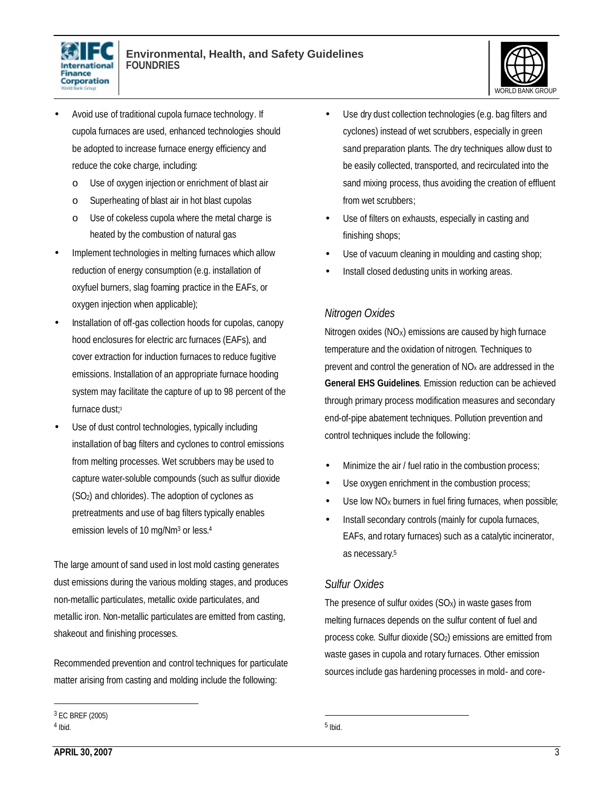



- Avoid use of traditional cupola furnace technology. If cupola furnaces are used, enhanced technologies should be adopted to increase furnace energy efficiency and reduce the coke charge, including:
	- o Use of oxygen injection or enrichment of blast air
	- o Superheating of blast air in hot blast cupolas
	- o Use of cokeless cupola where the metal charge is heated by the combustion of natural gas
- Implement technologies in melting furnaces which allow reduction of energy consumption (e.g. installation of oxyfuel burners, slag foaming practice in the EAFs, or oxygen injection when applicable);
- Installation of off-gas collection hoods for cupolas, canopy hood enclosures for electric arc furnaces (EAFs), and cover extraction for induction furnaces to reduce fugitive emissions. Installation of an appropriate furnace hooding system may facilitate the capture of up to 98 percent of the furnace dust; 3
- Use of dust control technologies, typically including installation of bag filters and cyclones to control emissions from melting processes. Wet scrubbers may be used to capture water-soluble compounds (such as sulfur dioxide (SO2) and chlorides). The adoption of cyclones as pretreatments and use of bag filters typically enables emission levels of 10 mg/Nm<sup>3</sup> or less.<sup>4</sup>

The large amount of sand used in lost mold casting generates dust emissions during the various molding stages, and produces non-metallic particulates, metallic oxide particulates, and metallic iron. Non-metallic particulates are emitted from casting, shakeout and finishing processes.

Recommended prevention and control techniques for particulate matter arising from casting and molding include the following:

- Use dry dust collection technologies (e.g. bag filters and cyclones) instead of wet scrubbers, especially in green sand preparation plants. The dry techniques allow dust to be easily collected, transported, and recirculated into the sand mixing process, thus avoiding the creation of effluent from wet scrubbers;
- Use of filters on exhausts, especially in casting and finishing shops;
- Use of vacuum cleaning in moulding and casting shop;
- Install closed dedusting units in working areas.

#### *Nitrogen Oxides*

Nitrogen oxides  $(NO<sub>x</sub>)$  emissions are caused by high furnace temperature and the oxidation of nitrogen. Techniques to prevent and control the generation of  $NO<sub>x</sub>$  are addressed in the **General EHS Guidelines**. Emission reduction can be achieved through primary process modification measures and secondary end-of-pipe abatement techniques. Pollution prevention and control techniques include the following:

- Minimize the air / fuel ratio in the combustion process;
- Use oxygen enrichment in the combustion process;
- Use low NO<sub>x</sub> burners in fuel firing furnaces, when possible;
- Install secondary controls (mainly for cupola furnaces, EAFs, and rotary furnaces) such as a catalytic incinerator, as necessary. 5

#### *Sulfur Oxides*

The presence of sulfur oxides  $(SO<sub>X</sub>)$  in waste gases from melting furnaces depends on the sulfur content of fuel and process coke. Sulfur dioxide (SO2) emissions are emitted from waste gases in cupola and rotary furnaces. Other emission sources include gas hardening processes in mold- and core-

<sup>3</sup> EC BREF (2005) 4 Ibid.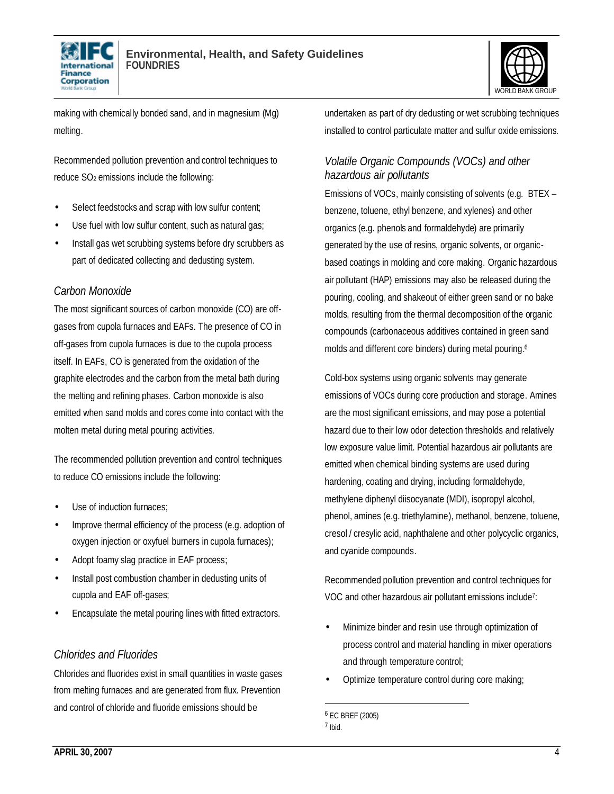



making with chemically bonded sand, and in magnesium (Mg) melting.

Recommended pollution prevention and control techniques to reduce SO<sub>2</sub> emissions include the following:

- Select feedstocks and scrap with low sulfur content;
- Use fuel with low sulfur content, such as natural gas;
- Install gas wet scrubbing systems before dry scrubbers as part of dedicated collecting and dedusting system.

#### *Carbon Monoxide*

The most significant sources of carbon monoxide (CO) are offgases from cupola furnaces and EAFs. The presence of CO in off-gases from cupola furnaces is due to the cupola process itself. In EAFs, CO is generated from the oxidation of the graphite electrodes and the carbon from the metal bath during the melting and refining phases. Carbon monoxide is also emitted when sand molds and cores come into contact with the molten metal during metal pouring activities.

The recommended pollution prevention and control techniques to reduce CO emissions include the following:

- Use of induction furnaces:
- Improve thermal efficiency of the process (e.g. adoption of oxygen injection or oxyfuel burners in cupola furnaces);
- Adopt foamy slag practice in EAF process;
- Install post combustion chamber in dedusting units of cupola and EAF off-gases;
- Encapsulate the metal pouring lines with fitted extractors.

#### *Chlorides and Fluorides*

Chlorides and fluorides exist in small quantities in waste gases from melting furnaces and are generated from flux. Prevention and control of chloride and fluoride emissions should be

undertaken as part of dry dedusting or wet scrubbing techniques installed to control particulate matter and sulfur oxide emissions.

#### *Volatile Organic Compounds (VOCs) and other hazardous air pollutants*

Emissions of VOCs, mainly consisting of solvents (e.g. BTEX – benzene, toluene, ethyl benzene, and xylenes) and other organics (e.g. phenols and formaldehyde) are primarily generated by the use of resins, organic solvents, or organicbased coatings in molding and core making. Organic hazardous air pollutant (HAP) emissions may also be released during the pouring, cooling, and shakeout of either green sand or no bake molds, resulting from the thermal decomposition of the organic compounds (carbonaceous additives contained in green sand molds and different core binders) during metal pouring.<sup>6</sup>

Cold-box systems using organic solvents may generate emissions of VOCs during core production and storage. Amines are the most significant emissions, and may pose a potential hazard due to their low odor detection thresholds and relatively low exposure value limit. Potential hazardous air pollutants are emitted when chemical binding systems are used during hardening, coating and drying, including formaldehyde, methylene diphenyl diisocyanate (MDI), isopropyl alcohol, phenol, amines (e.g. triethylamine), methanol, benzene, toluene, cresol / cresylic acid, naphthalene and other polycyclic organics, and cyanide compounds.

Recommended pollution prevention and control techniques for VOC and other hazardous air pollutant emissions include<sup>7</sup> :

- Minimize binder and resin use through optimization of process control and material handling in mixer operations and through temperature control;
- Optimize temperature control during core making;

<sup>6</sup> EC BREF (2005)

<sup>7</sup> Ibid.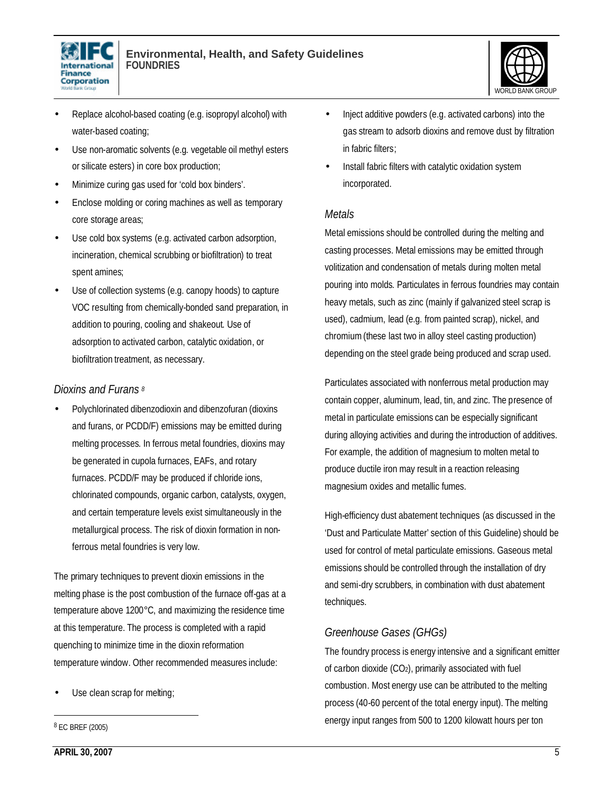



- Replace alcohol-based coating (e.g. isopropyl alcohol) with water-based coating;
- Use non-aromatic solvents (e.g. vegetable oil methyl esters or silicate esters) in core box production;
- Minimize curing gas used for 'cold box binders'.
- Enclose molding or coring machines as well as temporary core storage areas;
- Use cold box systems (e.g. activated carbon adsorption, incineration, chemical scrubbing or biofiltration) to treat spent amines;
- Use of collection systems (e.g. canopy hoods) to capture VOC resulting from chemically-bonded sand preparation, in addition to pouring, cooling and shakeout. Use of adsorption to activated carbon, catalytic oxidation, or biofiltration treatment, as necessary.

#### *Dioxins and Furans <sup>8</sup>*

• Polychlorinated dibenzodioxin and dibenzofuran (dioxins and furans, or PCDD/F) emissions may be emitted during melting processes. In ferrous metal foundries, dioxins may be generated in cupola furnaces, EAFs, and rotary furnaces. PCDD/F may be produced if chloride ions, chlorinated compounds, organic carbon, catalysts, oxygen, and certain temperature levels exist simultaneously in the metallurgical process. The risk of dioxin formation in nonferrous metal foundries is very low.

The primary techniques to prevent dioxin emissions in the melting phase is the post combustion of the furnace off-gas at a temperature above 1200°C, and maximizing the residence time at this temperature. The process is completed with a rapid quenching to minimize time in the dioxin reformation temperature window. Other recommended measures include:

Use clean scrap for melting;

8 EC BREF (2005)

 $\overline{a}$ 

- Inject additive powders (e.g. activated carbons) into the gas stream to adsorb dioxins and remove dust by filtration in fabric filters;
- Install fabric filters with catalytic oxidation system incorporated.

#### *Metals*

Metal emissions should be controlled during the melting and casting processes. Metal emissions may be emitted through volitization and condensation of metals during molten metal pouring into molds. Particulates in ferrous foundries may contain heavy metals, such as zinc (mainly if galvanized steel scrap is used), cadmium, lead (e.g. from painted scrap), nickel, and chromium (these last two in alloy steel casting production) depending on the steel grade being produced and scrap used.

Particulates associated with nonferrous metal production may contain copper, aluminum, lead, tin, and zinc. The presence of metal in particulate emissions can be especially significant during alloying activities and during the introduction of additives. For example, the addition of magnesium to molten metal to produce ductile iron may result in a reaction releasing magnesium oxides and metallic fumes.

High-efficiency dust abatement techniques (as discussed in the 'Dust and Particulate Matter' section of this Guideline) should be used for control of metal particulate emissions. Gaseous metal emissions should be controlled through the installation of dry and semi-dry scrubbers, in combination with dust abatement techniques.

## *Greenhouse Gases (GHGs)*

The foundry process is energy intensive and a significant emitter of carbon dioxide  $(CO<sub>2</sub>)$ , primarily associated with fuel combustion. Most energy use can be attributed to the melting process (40-60 percent of the total energy input). The melting energy input ranges from 500 to 1200 kilowatt hours per ton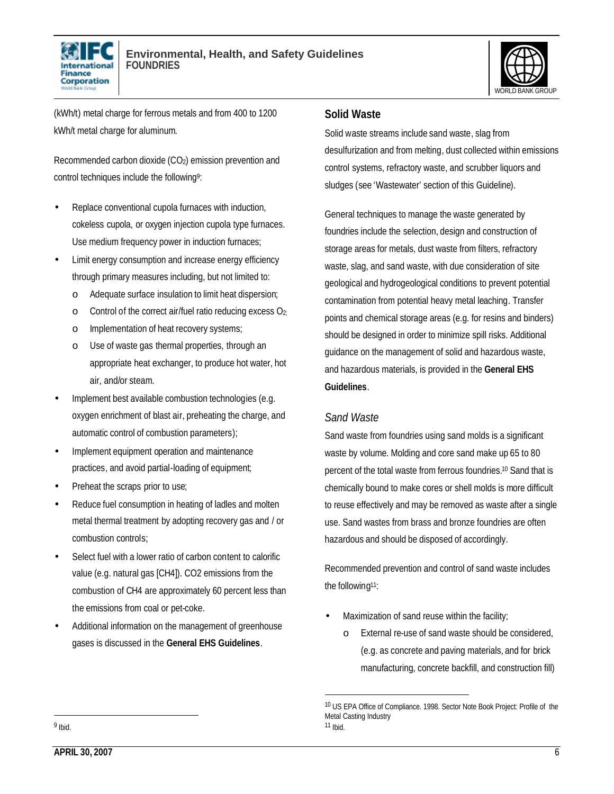



(kWh/t) metal charge for ferrous metals and from 400 to 1200 kWh/t metal charge for aluminum.

Recommended carbon dioxide (CO2) emission prevention and control techniques include the following<sup>9</sup>:

- Replace conventional cupola furnaces with induction, cokeless cupola, or oxygen injection cupola type furnaces. Use medium frequency power in induction furnaces;
- Limit energy consumption and increase energy efficiency through primary measures including, but not limited to:
	- o Adequate surface insulation to limit heat dispersion;
	- o Control of the correct air/fuel ratio reducing excess O2;
	- o Implementation of heat recovery systems;
	- o Use of waste gas thermal properties, through an appropriate heat exchanger, to produce hot water, hot air, and/or steam.
- Implement best available combustion technologies (e.g. oxygen enrichment of blast air, preheating the charge, and automatic control of combustion parameters);
- Implement equipment operation and maintenance practices, and avoid partial-loading of equipment;
- Preheat the scraps prior to use;
- Reduce fuel consumption in heating of ladles and molten metal thermal treatment by adopting recovery gas and / or combustion controls;
- Select fuel with a lower ratio of carbon content to calorific value (e.g. natural gas [CH4]). CO2 emissions from the combustion of CH4 are approximately 60 percent less than the emissions from coal or pet-coke.
- Additional information on the management of greenhouse gases is discussed in the **General EHS Guidelines**.

#### **Solid Waste**

Solid waste streams include sand waste, slag from desulfurization and from melting, dust collected within emissions control systems, refractory waste, and scrubber liquors and sludges (see 'Wastewater' section of this Guideline).

General techniques to manage the waste generated by foundries include the selection, design and construction of storage areas for metals, dust waste from filters, refractory waste, slag, and sand waste, with due consideration of site geological and hydrogeological conditions to prevent potential contamination from potential heavy metal leaching. Transfer points and chemical storage areas (e.g. for resins and binders) should be designed in order to minimize spill risks. Additional guidance on the management of solid and hazardous waste, and hazardous materials, is provided in the **General EHS Guidelines**.

## *Sand Waste*

l

Sand waste from foundries using sand molds is a significant waste by volume. Molding and core sand make up 65 to 80 percent of the total waste from ferrous foundries.<sup>10</sup> Sand that is chemically bound to make cores or shell molds is more difficult to reuse effectively and may be removed as waste after a single use. Sand wastes from brass and bronze foundries are often hazardous and should be disposed of accordingly.

Recommended prevention and control of sand waste includes the following<sup>11</sup>:

- Maximization of sand reuse within the facility;
	- o External re-use of sand waste should be considered, (e.g. as concrete and paving materials, and for brick manufacturing, concrete backfill, and construction fill)

<sup>10</sup> US EPA Office of Compliance. 1998. Sector Note Book Project: Profile of the Metal Casting Industry 11 Ibid.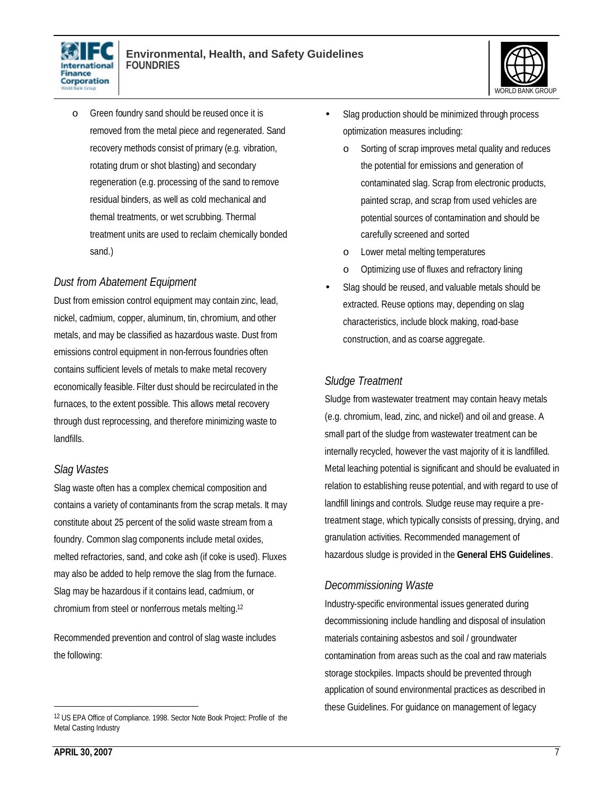



o Green foundry sand should be reused once it is removed from the metal piece and regenerated. Sand recovery methods consist of primary (e.g. vibration, rotating drum or shot blasting) and secondary regeneration (e.g. processing of the sand to remove residual binders, as well as cold mechanical and themal treatments, or wet scrubbing. Thermal treatment units are used to reclaim chemically bonded sand.)

#### *Dust from Abatement Equipment*

Dust from emission control equipment may contain zinc, lead, nickel, cadmium, copper, aluminum, tin, chromium, and other metals, and may be classified as hazardous waste. Dust from emissions control equipment in non-ferrous foundries often contains sufficient levels of metals to make metal recovery economically feasible. Filter dust should be recirculated in the furnaces, to the extent possible. This allows metal recovery through dust reprocessing, and therefore minimizing waste to landfills.

#### *Slag Wastes*

Slag waste often has a complex chemical composition and contains a variety of contaminants from the scrap metals. It may constitute about 25 percent of the solid waste stream from a foundry. Common slag components include metal oxides, melted refractories, sand, and coke ash (if coke is used). Fluxes may also be added to help remove the slag from the furnace. Slag may be hazardous if it contains lead, cadmium, or chromium from steel or nonferrous metals melting.<sup>12</sup>

Recommended prevention and control of slag waste includes the following:

- Slag production should be minimized through process optimization measures including:
	- o Sorting of scrap improves metal quality and reduces the potential for emissions and generation of contaminated slag. Scrap from electronic products, painted scrap, and scrap from used vehicles are potential sources of contamination and should be carefully screened and sorted
	- o Lower metal melting temperatures
	- o Optimizing use of fluxes and refractory lining
- Slag should be reused, and valuable metals should be extracted. Reuse options may, depending on slag characteristics, include block making, road-base construction, and as coarse aggregate.

#### *Sludge Treatment*

Sludge from wastewater treatment may contain heavy metals (e.g. chromium, lead, zinc, and nickel) and oil and grease. A small part of the sludge from wastewater treatment can be internally recycled, however the vast majority of it is landfilled. Metal leaching potential is significant and should be evaluated in relation to establishing reuse potential, and with regard to use of landfill linings and controls. Sludge reuse may require a pretreatment stage, which typically consists of pressing, drying, and granulation activities. Recommended management of hazardous sludge is provided in the **General EHS Guidelines**.

## *Decommissioning Waste*

Industry-specific environmental issues generated during decommissioning include handling and disposal of insulation materials containing asbestos and soil / groundwater contamination from areas such as the coal and raw materials storage stockpiles. Impacts should be prevented through application of sound environmental practices as described in these Guidelines. For guidance on management of legacy

<sup>12</sup> US EPA Office of Compliance. 1998. Sector Note Book Project: Profile of the Metal Casting Industry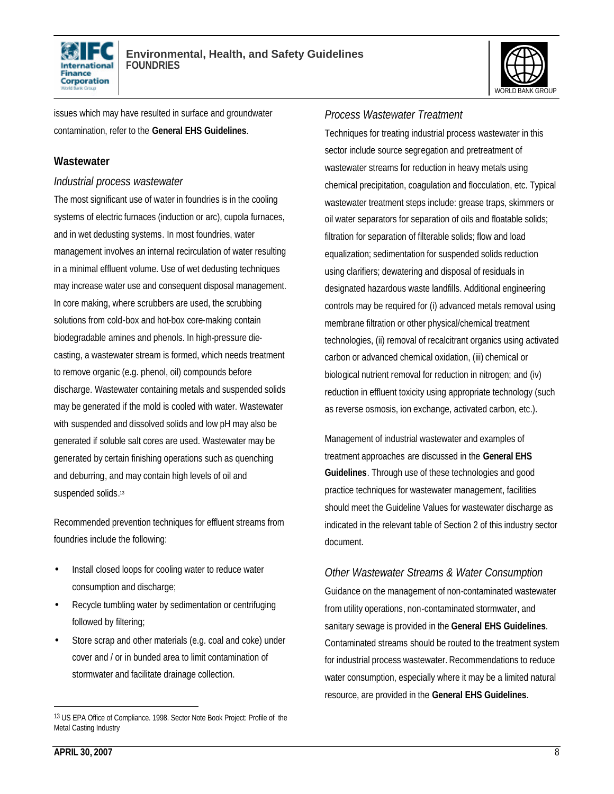



issues which may have resulted in surface and groundwater contamination, refer to the **General EHS Guidelines**.

#### **Wastewater**

#### *Industrial process wastewater*

The most significant use of water in foundries is in the cooling systems of electric furnaces (induction or arc), cupola furnaces, and in wet dedusting systems. In most foundries, water management involves an internal recirculation of water resulting in a minimal effluent volume. Use of wet dedusting techniques may increase water use and consequent disposal management. In core making, where scrubbers are used, the scrubbing solutions from cold-box and hot-box core-making contain biodegradable amines and phenols. In high-pressure diecasting, a wastewater stream is formed, which needs treatment to remove organic (e.g. phenol, oil) compounds before discharge. Wastewater containing metals and suspended solids may be generated if the mold is cooled with water. Wastewater with suspended and dissolved solids and low pH may also be generated if soluble salt cores are used. Wastewater may be generated by certain finishing operations such as quenching and deburring, and may contain high levels of oil and suspended solids.<sup>13</sup>

Recommended prevention techniques for effluent streams from foundries include the following:

- Install closed loops for cooling water to reduce water consumption and discharge;
- Recycle tumbling water by sedimentation or centrifuging followed by filtering;
- Store scrap and other materials (e.g. coal and coke) under cover and / or in bunded area to limit contamination of stormwater and facilitate drainage collection.

### *Process Wastewater Treatment*

Techniques for treating industrial process wastewater in this sector include source segregation and pretreatment of wastewater streams for reduction in heavy metals using chemical precipitation, coagulation and flocculation, etc. Typical wastewater treatment steps include: grease traps, skimmers or oil water separators for separation of oils and floatable solids; filtration for separation of filterable solids; flow and load equalization; sedimentation for suspended solids reduction using clarifiers; dewatering and disposal of residuals in designated hazardous waste landfills. Additional engineering controls may be required for (i) advanced metals removal using membrane filtration or other physical/chemical treatment technologies, (ii) removal of recalcitrant organics using activated carbon or advanced chemical oxidation, (iii) chemical or biological nutrient removal for reduction in nitrogen; and (iv) reduction in effluent toxicity using appropriate technology (such as reverse osmosis, ion exchange, activated carbon, etc.).

Management of industrial wastewater and examples of treatment approaches are discussed in the **General EHS Guidelines**. Through use of these technologies and good practice techniques for wastewater management, facilities should meet the Guideline Values for wastewater discharge as indicated in the relevant table of Section 2 of this industry sector document.

## *Other Wastewater Streams & Water Consumption*

Guidance on the management of non-contaminated wastewater from utility operations, non-contaminated stormwater, and sanitary sewage is provided in the **General EHS Guidelines**. Contaminated streams should be routed to the treatment system for industrial process wastewater. Recommendations to reduce water consumption, especially where it may be a limited natural resource, are provided in the **General EHS Guidelines**.

<sup>13</sup> US EPA Office of Compliance. 1998. Sector Note Book Project: Profile of the Metal Casting Industry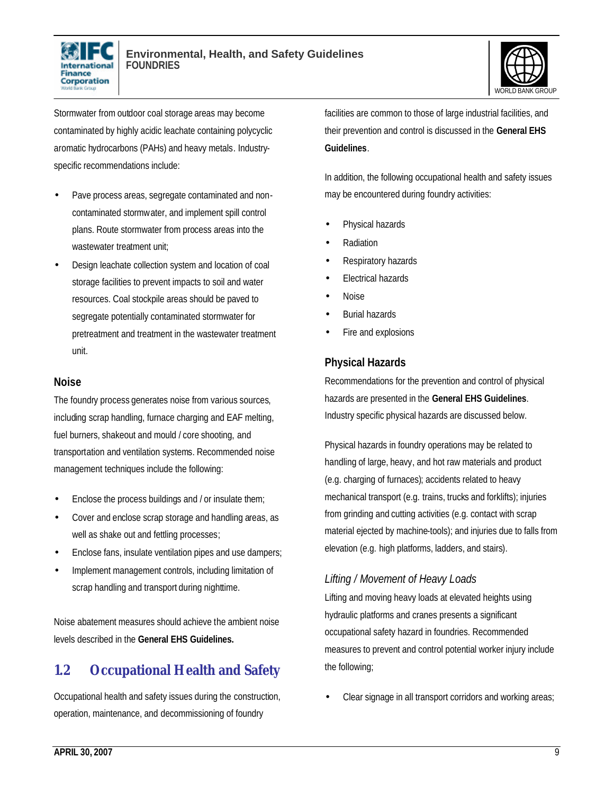



Stormwater from outdoor coal storage areas may become contaminated by highly acidic leachate containing polycyclic aromatic hydrocarbons (PAHs) and heavy metals. Industryspecific recommendations include:

- Pave process areas, segregate contaminated and noncontaminated stormwater, and implement spill control plans. Route stormwater from process areas into the wastewater treatment unit;
- Design leachate collection system and location of coal storage facilities to prevent impacts to soil and water resources. Coal stockpile areas should be paved to segregate potentially contaminated stormwater for pretreatment and treatment in the wastewater treatment unit.

#### **Noise**

The foundry process generates noise from various sources, including scrap handling, furnace charging and EAF melting, fuel burners, shakeout and mould / core shooting, and transportation and ventilation systems. Recommended noise management techniques include the following:

- Enclose the process buildings and / or insulate them;
- Cover and enclose scrap storage and handling areas, as well as shake out and fettling processes;
- Enclose fans, insulate ventilation pipes and use dampers;
- Implement management controls, including limitation of scrap handling and transport during nighttime.

Noise abatement measures should achieve the ambient noise levels described in the **General EHS Guidelines.**

# **1.2 Occupational Health and Safety**

Occupational health and safety issues during the construction, operation, maintenance, and decommissioning of foundry

facilities are common to those of large industrial facilities, and their prevention and control is discussed in the **General EHS Guidelines**.

In addition, the following occupational health and safety issues may be encountered during foundry activities:

- Physical hazards
- Radiation
- Respiratory hazards
- Electrical hazards
- Noise
- Burial hazards
- Fire and explosions

#### **Physical Hazards**

Recommendations for the prevention and control of physical hazards are presented in the **General EHS Guidelines**. Industry specific physical hazards are discussed below.

Physical hazards in foundry operations may be related to handling of large, heavy, and hot raw materials and product (e.g. charging of furnaces); accidents related to heavy mechanical transport (e.g. trains, trucks and forklifts); injuries from grinding and cutting activities (e.g. contact with scrap material ejected by machine-tools); and injuries due to falls from elevation (e.g. high platforms, ladders, and stairs).

#### *Lifting / Movement of Heavy Loads*

Lifting and moving heavy loads at elevated heights using hydraulic platforms and cranes presents a significant occupational safety hazard in foundries. Recommended measures to prevent and control potential worker injury include the following;

• Clear signage in all transport corridors and working areas;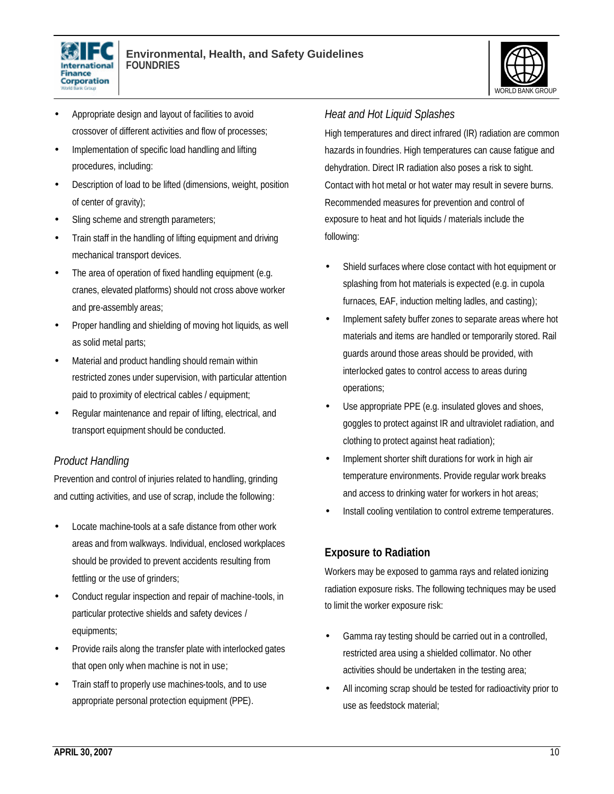



- Appropriate design and layout of facilities to avoid crossover of different activities and flow of processes;
- Implementation of specific load handling and lifting procedures, including:
- Description of load to be lifted (dimensions, weight, position of center of gravity);
- Sling scheme and strength parameters;
- Train staff in the handling of lifting equipment and driving mechanical transport devices.
- The area of operation of fixed handling equipment (e.g. cranes, elevated platforms) should not cross above worker and pre-assembly areas;
- Proper handling and shielding of moving hot liquids, as well as solid metal parts;
- Material and product handling should remain within restricted zones under supervision, with particular attention paid to proximity of electrical cables / equipment;
- Regular maintenance and repair of lifting, electrical, and transport equipment should be conducted.

## *Product Handling*

Prevention and control of injuries related to handling, grinding and cutting activities, and use of scrap, include the following:

- Locate machine-tools at a safe distance from other work areas and from walkways. Individual, enclosed workplaces should be provided to prevent accidents resulting from fettling or the use of grinders;
- Conduct regular inspection and repair of machine-tools, in particular protective shields and safety devices / equipments;
- Provide rails along the transfer plate with interlocked gates that open only when machine is not in use;
- Train staff to properly use machines-tools, and to use appropriate personal protection equipment (PPE).

# *Heat and Hot Liquid Splashes*

High temperatures and direct infrared (IR) radiation are common hazards in foundries. High temperatures can cause fatigue and dehydration. Direct IR radiation also poses a risk to sight. Contact with hot metal or hot water may result in severe burns. Recommended measures for prevention and control of exposure to heat and hot liquids / materials include the following:

- Shield surfaces where close contact with hot equipment or splashing from hot materials is expected (e.g. in cupola furnaces, EAF, induction melting ladles, and casting);
- Implement safety buffer zones to separate areas where hot materials and items are handled or temporarily stored. Rail guards around those areas should be provided, with interlocked gates to control access to areas during operations;
- Use appropriate PPE (e.g. insulated gloves and shoes, goggles to protect against IR and ultraviolet radiation, and clothing to protect against heat radiation);
- Implement shorter shift durations for work in high air temperature environments. Provide regular work breaks and access to drinking water for workers in hot areas;
- Install cooling ventilation to control extreme temperatures.

# **Exposure to Radiation**

Workers may be exposed to gamma rays and related ionizing radiation exposure risks. The following techniques may be used to limit the worker exposure risk:

- Gamma ray testing should be carried out in a controlled, restricted area using a shielded collimator. No other activities should be undertaken in the testing area;
- All incoming scrap should be tested for radioactivity prior to use as feedstock material;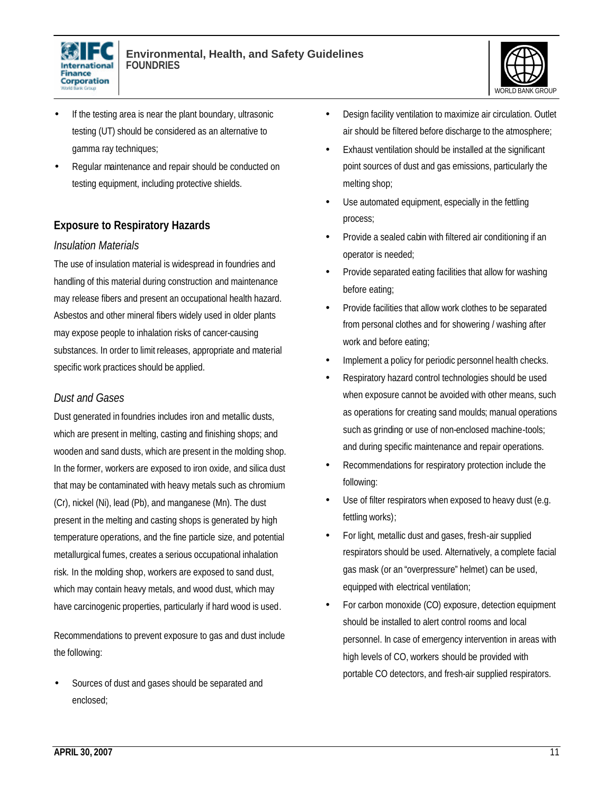



- If the testing area is near the plant boundary, ultrasonic testing (UT) should be considered as an alternative to gamma ray techniques;
- Regular maintenance and repair should be conducted on testing equipment, including protective shields.

# **Exposure to Respiratory Hazards**

#### *Insulation Materials*

The use of insulation material is widespread in foundries and handling of this material during construction and maintenance may release fibers and present an occupational health hazard. Asbestos and other mineral fibers widely used in older plants may expose people to inhalation risks of cancer-causing substances. In order to limit releases, appropriate and material specific work practices should be applied.

#### *Dust and Gases*

Dust generated in foundries includes iron and metallic dusts, which are present in melting, casting and finishing shops; and wooden and sand dusts, which are present in the molding shop. In the former, workers are exposed to iron oxide, and silica dust that may be contaminated with heavy metals such as chromium (Cr), nickel (Ni), lead (Pb), and manganese (Mn). The dust present in the melting and casting shops is generated by high temperature operations, and the fine particle size, and potential metallurgical fumes, creates a serious occupational inhalation risk. In the molding shop, workers are exposed to sand dust, which may contain heavy metals, and wood dust, which may have carcinogenic properties, particularly if hard wood is used.

Recommendations to prevent exposure to gas and dust include the following:

Sources of dust and gases should be separated and enclosed;

- Design facility ventilation to maximize air circulation. Outlet air should be filtered before discharge to the atmosphere;
- Exhaust ventilation should be installed at the significant point sources of dust and gas emissions, particularly the melting shop;
- Use automated equipment, especially in the fettling process;
- Provide a sealed cabin with filtered air conditioning if an operator is needed;
- Provide separated eating facilities that allow for washing before eating;
- Provide facilities that allow work clothes to be separated from personal clothes and for showering / washing after work and before eating;
- Implement a policy for periodic personnel health checks.
- Respiratory hazard control technologies should be used when exposure cannot be avoided with other means, such as operations for creating sand moulds; manual operations such as grinding or use of non-enclosed machine-tools; and during specific maintenance and repair operations.
- Recommendations for respiratory protection include the following:
- Use of filter respirators when exposed to heavy dust (e.g. fettling works);
- For light, metallic dust and gases, fresh-air supplied respirators should be used. Alternatively, a complete facial gas mask (or an "overpressure" helmet) can be used, equipped with electrical ventilation;
- For carbon monoxide (CO) exposure, detection equipment should be installed to alert control rooms and local personnel. In case of emergency intervention in areas with high levels of CO, workers should be provided with portable CO detectors, and fresh-air supplied respirators.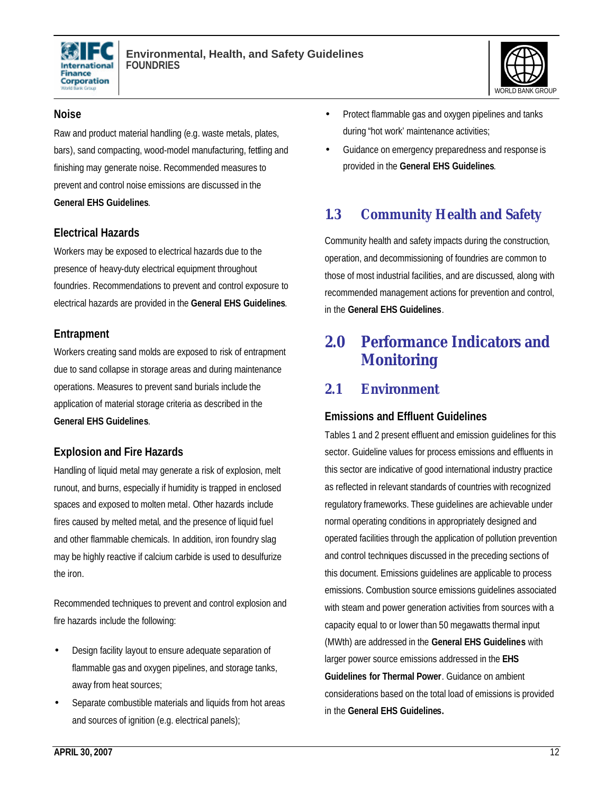



#### **Noise**

Raw and product material handling (e.g. waste metals, plates, bars), sand compacting, wood-model manufacturing, fettling and finishing may generate noise. Recommended measures to prevent and control noise emissions are discussed in the **General EHS Guidelines**.

#### **Electrical Hazards**

Workers may be exposed to electrical hazards due to the presence of heavy-duty electrical equipment throughout foundries. Recommendations to prevent and control exposure to electrical hazards are provided in the **General EHS Guidelines**.

#### **Entrapment**

Workers creating sand molds are exposed to risk of entrapment due to sand collapse in storage areas and during maintenance operations. Measures to prevent sand burials include the application of material storage criteria as described in the **General EHS Guidelines**.

## **Explosion and Fire Hazards**

Handling of liquid metal may generate a risk of explosion, melt runout, and burns, especially if humidity is trapped in enclosed spaces and exposed to molten metal. Other hazards include fires caused by melted metal, and the presence of liquid fuel and other flammable chemicals. In addition, iron foundry slag may be highly reactive if calcium carbide is used to desulfurize the iron.

Recommended techniques to prevent and control explosion and fire hazards include the following:

- Design facility layout to ensure adequate separation of flammable gas and oxygen pipelines, and storage tanks, away from heat sources;
- Separate combustible materials and liquids from hot areas and sources of ignition (e.g. electrical panels);
- Protect flammable gas and oxygen pipelines and tanks during "hot work' maintenance activities;
- Guidance on emergency preparedness and response is provided in the **General EHS Guidelines**.

# **1.3 Community Health and Safety**

Community health and safety impacts during the construction, operation, and decommissioning of foundries are common to those of most industrial facilities, and are discussed, along with recommended management actions for prevention and control, in the **General EHS Guidelines**.

# **2.0 Performance Indicators and Monitoring**

# **2.1 Environment**

## **Emissions and Effluent Guidelines**

Tables 1 and 2 present effluent and emission guidelines for this sector. Guideline values for process emissions and effluents in this sector are indicative of good international industry practice as reflected in relevant standards of countries with recognized regulatory frameworks. These guidelines are achievable under normal operating conditions in appropriately designed and operated facilities through the application of pollution prevention and control techniques discussed in the preceding sections of this document. Emissions guidelines are applicable to process emissions. Combustion source emissions guidelines associated with steam and power generation activities from sources with a capacity equal to or lower than 50 megawatts thermal input (MWth) are addressed in the **General EHS Guidelines** with larger power source emissions addressed in the **EHS Guidelines for Thermal Power**. Guidance on ambient considerations based on the total load of emissions is provided in the **General EHS Guidelines.**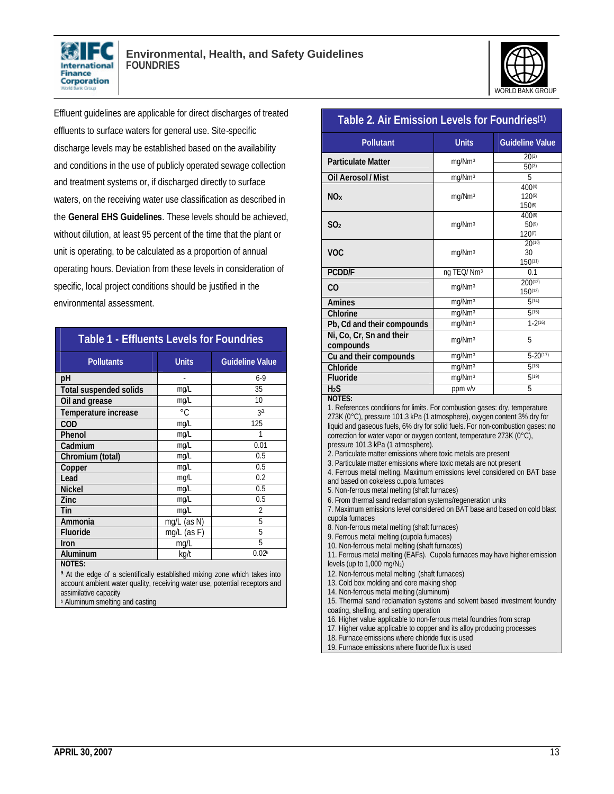



Effluent guidelines are applicable for direct discharges of treated effluents to surface waters for general use. Site-specific discharge levels may be established based on the availability and conditions in the use of publicly operated sewage collection and treatment systems or, if discharged directly to surface waters, on the receiving water use classification as described in the **General EHS Guidelines**. These levels should be achieved, without dilution, at least 95 percent of the time that the plant or unit is operating, to be calculated as a proportion of annual operating hours. Deviation from these levels in consideration of specific, local project conditions should be justified in the environmental assessment.

| <b>Table 1 - Effluents Levels for Foundries</b> |                |                        |  |
|-------------------------------------------------|----------------|------------------------|--|
| <b>Pollutants</b>                               | <b>Units</b>   | <b>Guideline Value</b> |  |
| рH                                              |                | $6-9$                  |  |
| <b>Total suspended solids</b>                   | mq/L           | 35                     |  |
| Oil and grease                                  | mq/L           | 10                     |  |
| Temperature increase                            | $^{\circ}$ C   | 3a                     |  |
| <b>COD</b>                                      | mq/L           | 125                    |  |
| Phenol                                          | mg/L           | 1                      |  |
| Cadmium                                         | mq/L           | 0.01                   |  |
| Chromium (total)                                | mg/L           | 0.5                    |  |
| Copper                                          | mg/L           | 0.5                    |  |
| Lead                                            | mg/L           | 0.2                    |  |
| <b>Nickel</b>                                   | mq/L           | 0.5                    |  |
| Zinc                                            | mg/L           | 0.5                    |  |
| Tin                                             | mq/L           | $\mathfrak{D}$         |  |
| Ammonia                                         | (as N)<br>mq/L | 5                      |  |
| <b>Fluoride</b>                                 | mg/L (as F)    | 5                      |  |
| Iron                                            | mg/L           | 5                      |  |
| Aluminum                                        | kg/t           | 0.02 <sub>b</sub>      |  |
| <b>NOTES:</b>                                   |                |                        |  |

a At the edge of a scientifically established mixing zone which takes into account ambient water quality, receiving water use, potential receptors and assimilative capacity **b** Aluminum smelting and casting

#### **Table 2. Air Emission Levels for Foundries(1)**

| <b>Pollutant</b>                      | <b>Units</b>           | <b>Guideline Value</b>                          |
|---------------------------------------|------------------------|-------------------------------------------------|
| <b>Particulate Matter</b>             | mg/Nm <sup>3</sup>     | $20^{(2)}$                                      |
|                                       |                        | $50^{(3)}$                                      |
| Oil Aerosol / Mist                    | mg/Nm <sup>3</sup>     | 5                                               |
| <b>NO</b> <sub>x</sub>                | mg/Nm <sup>3</sup>     | $400^{(4)}$<br>$120^{(5)}$<br>150%              |
| SO <sub>2</sub>                       | mg/Nm <sup>3</sup>     | $400^{(8)}$<br>$50^{(9)}$<br>120 <sub>(7)</sub> |
| <b>VOC</b>                            | mg/Nm <sup>3</sup>     | $20^{(10)}$<br>30<br>150(11)                    |
| <b>PCDD/F</b>                         | ng TEQ/Nm <sup>3</sup> | 0.1                                             |
| CO                                    | mg/Nm <sup>3</sup>     | $200^{(12)}$<br>$150^{(13)}$                    |
| <b>Amines</b>                         | mg/Nm <sup>3</sup>     | 5(14)                                           |
| <b>Chlorine</b>                       | mg/Nm <sup>3</sup>     | 5(15)                                           |
| Pb, Cd and their compounds            | mg/Nm <sup>3</sup>     | $1 - 2(16)$                                     |
| Ni, Co, Cr, Sn and their<br>compounds | mg/Nm <sup>3</sup>     | 5                                               |
| Cu and their compounds                | mg/Nm <sup>3</sup>     | $5 - 20^{(17)}$                                 |
| Chloride                              | mg/Nm <sup>3</sup>     | 5(18)                                           |
| <b>Fluoride</b>                       | mg/Nm <sup>3</sup>     | 5(19)                                           |
| H <sub>2</sub> S<br>MOTEC.            | ppm v/v                | 5                                               |

**NOTES:**

1. References conditions for limits. For combustion gases: dry, temperature 273K (0°C), pressure 101.3 kPa (1 atmosphere), oxygen content 3% dry for liquid and gaseous fuels, 6% dry for solid fuels. For non-combustion gases: no correction for water vapor or oxygen content, temperature 273K (0°C), pressure 101.3 kPa (1 atmosphere).

2. Particulate matter emissions where toxic metals are present

3. Particulate matter emissions where toxic metals are not present

4. Ferrous metal melting. Maximum emissions level considered on BAT base

and based on cokeless cupola furnaces

5. Non-ferrous metal melting (shaft furnaces)

6. From thermal sand reclamation systems/regeneration units

7. Maximum emissions level considered on BAT base and based on cold blast cupola furnaces

8. Non-ferrous metal melting (shaft furnaces)

9. Ferrous metal melting (cupola furnaces)

10. Non-ferrous metal melting (shaft furnaces)

11. Ferrous metal melting (EAFs). Cupola furnaces may have higher emission levels (up to  $1,000 \text{ mg/N}_3$ )

12. Non-ferrous metal melting (shaft furnaces)

13. Cold box molding and core making shop

14. Non-ferrous metal melting (aluminum)

15. Thermal sand reclamation systems and solvent based investment foundry coating, shelling, and setting operation

16. Higher value applicable to non-ferrous metal foundries from scrap

17. Higher value applicable to copper and its alloy producing processes

18. Furnace emissions where chloride flux is used

19. Furnace emissions where fluoride flux is used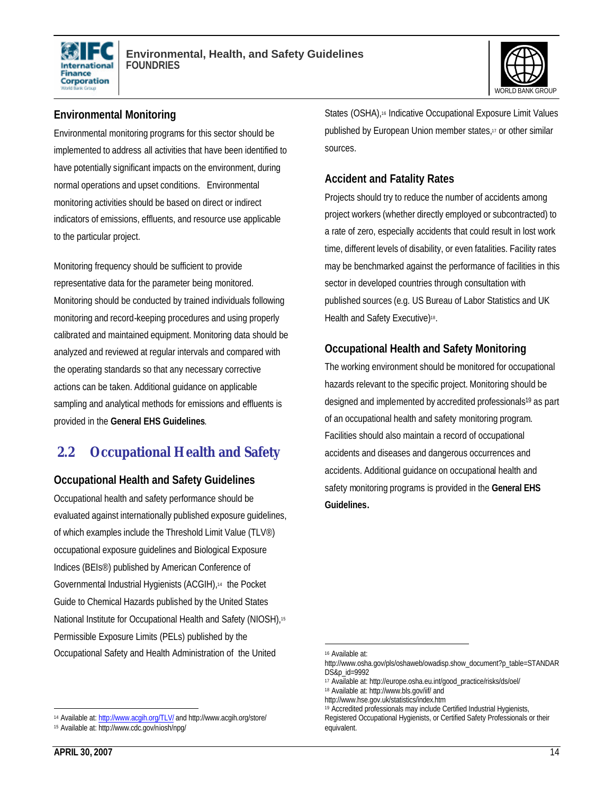



# **Environmental Monitoring**

Environmental monitoring programs for this sector should be implemented to address all activities that have been identified to have potentially significant impacts on the environment, during normal operations and upset conditions. Environmental monitoring activities should be based on direct or indirect indicators of emissions, effluents, and resource use applicable to the particular project.

Monitoring frequency should be sufficient to provide representative data for the parameter being monitored. Monitoring should be conducted by trained individuals following monitoring and record-keeping procedures and using properly calibrated and maintained equipment. Monitoring data should be analyzed and reviewed at regular intervals and compared with the operating standards so that any necessary corrective actions can be taken. Additional guidance on applicable sampling and analytical methods for emissions and effluents is provided in the **General EHS Guidelines**.

# **2.2 Occupational Health and Safety**

#### **Occupational Health and Safety Guidelines**

Occupational health and safety performance should be evaluated against internationally published exposure guidelines, of which examples include the Threshold Limit Value (TLV®) occupational exposure guidelines and Biological Exposure Indices (BEIs®) published by American Conference of Governmental Industrial Hygienists (ACGIH),14 the Pocket Guide to Chemical Hazards published by the United States National Institute for Occupational Health and Safety (NIOSH),<sup>15</sup> Permissible Exposure Limits (PELs) published by the Occupational Safety and Health Administration of the United

 $\overline{a}$ <sup>14</sup> Available at: http://www.acgih.org/TLV/ and http://www.acgih.org/store/ States (OSHA),<sup>16</sup> Indicative Occupational Exposure Limit Values published by European Union member states,<sup>17</sup> or other similar sources.

#### **Accident and Fatality Rates**

Projects should try to reduce the number of accidents among project workers (whether directly employed or subcontracted) to a rate of zero, especially accidents that could result in lost work time, different levels of disability, or even fatalities. Facility rates may be benchmarked against the performance of facilities in this sector in developed countries through consultation with published sources (e.g. US Bureau of Labor Statistics and UK Health and Safety Executive)<sup>18</sup>.

#### **Occupational Health and Safety Monitoring**

The working environment should be monitored for occupational hazards relevant to the specific project. Monitoring should be designed and implemented by accredited professionals<sup>19</sup> as part of an occupational health and safety monitoring program. Facilities should also maintain a record of occupational accidents and diseases and dangerous occurrences and accidents. Additional guidance on occupational health and safety monitoring programs is provided in the **General EHS Guidelines.**

<sup>15</sup> Available at: http://www.cdc.gov/niosh/npg/

<sup>16</sup> Available at:

http://www.osha.gov/pls/oshaweb/owadisp.show\_document?p\_table=STANDAR DS&p\_id=9992

<sup>17</sup> Available at: http://europe.osha.eu.int/good\_practice/risks/ds/oel/

<sup>18</sup> Available at: http://www.bls.gov/iif/ and

http://www.hse.gov.uk/statistics/index.htm

<sup>&</sup>lt;sup>19</sup> Accredited professionals may include Certified Industrial Hygienists,

Registered Occupational Hygienists, or Certified Safety Professionals or their equivalent.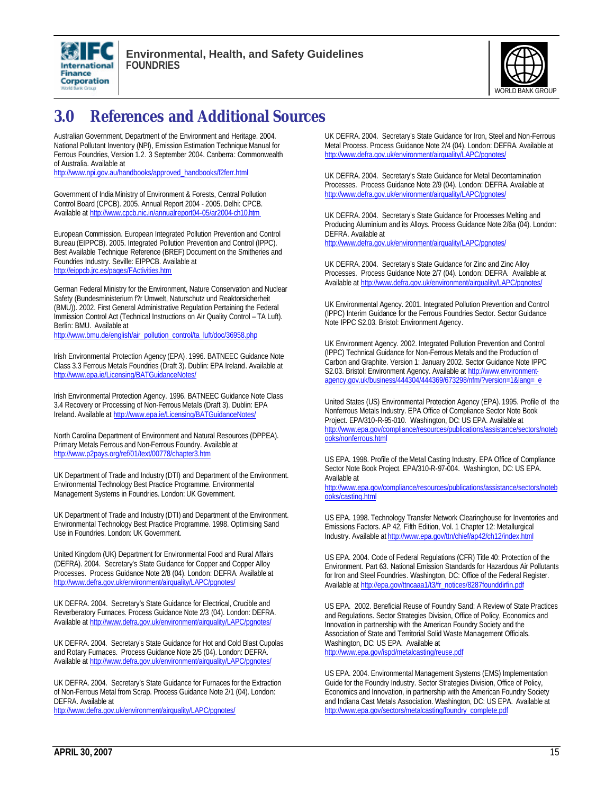



# **3.0 References and Additional Sources**

Australian Government, Department of the Environment and Heritage. 2004. National Pollutant Inventory (NPI), Emission Estimation Technique Manual for Ferrous Foundries, Version 1.2. 3 September 2004. Canberra: Commonwealth of Australia. Available at

http://www.npi.gov.au/handbooks/approved\_handbooks/f2ferr.html

Government of IndiaMinistry of Environment & Forests, Central Pollution Control Board (CPCB). 2005. Annual Report 2004 - 2005. Delhi: CPCB. Available at http://www.cpcb.nic.in/annualreport04-05/ar2004-ch10.htm

European Commission. European Integrated Pollution Prevention and Control Bureau (EIPPCB). 2005. Integrated Pollution Prevention and Control (IPPC). Best Available Technique Reference (BREF) Document on the Smitheries and Foundries Industry. Seville: EIPPCB. Available at http://eippcb.jrc.es/pages/FActivities.htm

German Federal Ministry for the Environment, Nature Conservation and Nuclear Safety (Bundesministerium f?r Umwelt, Naturschutz und Reaktorsicherheit (BMU)). 2002. First General Administrative Regulation Pertaining the Federal Immission Control Act (Technical Instructions on Air Quality Control – TA Luft). Berlin: BMU. Available at

http://www.bmu.de/english/air\_pollution\_control/ta\_luft/doc/36958.php

Irish Environmental Protection Agency (EPA). 1996. BATNEEC Guidance Note Class 3.3 Ferrous Metals Foundries (Draft 3). Dublin: EPA Ireland. Available at http://www.epa.ie/Licensing/BATGuidanceNotes/

Irish Environmental Protection Agency. 1996. BATNEEC Guidance Note Class 3.4 Recovery or Processing of Non-Ferrous Metals (Draft 3). Dublin: EPA Ireland. Available at http://www.epa.ie/Licensing/BATGuidanceNotes/

North Carolina Department of Environment and Natural Resources (DPPEA). Primary Metals Ferrous and Non-Ferrous Foundry. Available at http://www.p2pays.org/ref/01/text/00778/chapter3.htm

UK Department of Trade and Industry (DTI) and Department of the Environment. Environmental Technology Best Practice Programme. Environmental Management Systems in Foundries. London: UK Government.

UK Department of Trade and Industry (DTI) and Department of the Environment. Environmental Technology Best Practice Programme. 1998. Optimising Sand Use in Foundries. London: UK Government.

United Kingdom (UK) Department for Environmental Food and Rural Affairs (DEFRA). 2004. Secretary's State Guidance for Copper and Copper Alloy Processes. Process Guidance Note 2/8 (04). London: DEFRA. Available at http://www.defra.gov.uk/environment/airquality/LAPC/pgnotes

UK DEFRA. 2004. Secretary's State Guidance for Electrical, Crucible and Reverberatory Furnaces. Process Guidance Note 2/3 (04). London: DEFRA. Available at http://www.defra.gov.uk/environment/airquality/LAPC/pgnotes/

UK DEFRA. 2004. Secretary's State Guidance for Hot and Cold Blast Cupolas and Rotary Furnaces. Process Guidance Note 2/5 (04). London: DEFRA. Available at http://www.defra.gov.uk/environment/airquality/LAPC/pgnotes/

UK DEFRA. 2004. Secretary's State Guidance for Furnaces for the Extraction of Non-Ferrous Metal from Scrap. Process Guidance Note 2/1 (04). London: DEFRA. Available at

http://www.defra.gov.uk/environment/airquality/LAPC/pgnotes/

UK DEFRA. 2004. Secretary's State Guidance for Iron, Steel and Non-Ferrous Metal Process. Process Guidance Note 2/4 (04). London: DEFRA. Available at http://www.defra.gov.uk/environment/airquality/LAPC/pgnotes/

UK DEFRA. 2004. Secretary's State Guidance for Metal Decontamination Processes. Process Guidance Note 2/9 (04). London: DEFRA. Available at http://www.defra.gov.uk/environment/airquality/LAPC/pgnotes/

UK DEFRA. 2004. Secretary's State Guidance for Processes Melting and Producing Aluminium and its Alloys. Process Guidance Note 2/6a (04). London: DEFRA. Available at

http://www.defra.gov.uk/environment/airquality/LAPC/pgnotes/

UK DEFRA. 2004. Secretary's State Guidance for Zinc and Zinc Alloy Processes. Process Guidance Note 2/7 (04). London: DEFRA. Available at Available at http://www.defra.gov.uk/environment/airquality/LAPC/pgnotes/

UK Environmental Agency. 2001. Integrated Pollution Prevention and Control (IPPC) Interim Guidance for the Ferrous Foundries Sector. Sector Guidance Note IPPC S2.03. Bristol: Environment Agency.

UK Environment Agency. 2002. Integrated Pollution Prevention and Control (IPPC) Technical Guidance for Non-Ferrous Metals and the Production of Carbon and Graphite. Version 1: January 2002. Sector Guidance Note IPPC S2.03. Bristol: Environment Agency. Available at http://www.environmentagency.gov.uk/business/444304/444369/673298/nfm/?version=1&lang=\_e

United States (US) Environmental Protection Agency (EPA). 1995. Profile of the Nonferrous Metals Industry. EPA Office of Compliance Sector Note Book Project. EPA/310-R-95-010. Washington, DC: US EPA. Available at http://www.epa.gov/compliance/resources/publications/assistance/sectors/noteb ooks/nonferrous.html

US EPA. 1998. Profile of the Metal Casting Industry. EPA Office of Compliance Sector Note Book Project. EPA/310-R-97-004. Washington, DC: US EPA. Available at

http://www.epa.gov/compliance/resources/publications/assistance/sectors/noteb ooks/casting.html

US EPA. 1998. Technology Transfer Network Clearinghouse for Inventories and Emissions Factors. AP 42, Fifth Edition, Vol. 1 Chapter 12: Metallurgical Industry. Available at http://www.epa.gov/ttn/chief/ap42/ch12/index.html

US EPA. 2004. Code of Federal Regulations (CFR) Title 40: Protection of the Environment. Part 63. National Emission Standards for Hazardous Air Pollutants for Iron and Steel Foundries. Washington, DC: Office of the Federal Register. Available at http://epa.gov/ttncaaa1/t3/fr\_notices/8287founddirfin.pdf

US EPA. 2002. Beneficial Reuse of Foundry Sand: A Review of State Practices and Regulations. Sector Strategies Division, Office of Policy, Economics and Innovation in partnership with the American Foundry Society and the Association of State and Territorial Solid Waste Management Officials. Washington, DC: US EPA. Available at http://www.epa.gov/ispd/metalcasting/reuse.pdf

US EPA. 2004. Environmental Management Systems (EMS) Implementation Guide for the Foundry Industry. Sector Strategies Division, Office of Policy, Economics and Innovation, in partnership with the American Foundry Society and Indiana Cast Metals Association. Washington, DC: US EPA. Available at http://www.epa.gov/sectors/metalcasting/foundry\_complete.pdf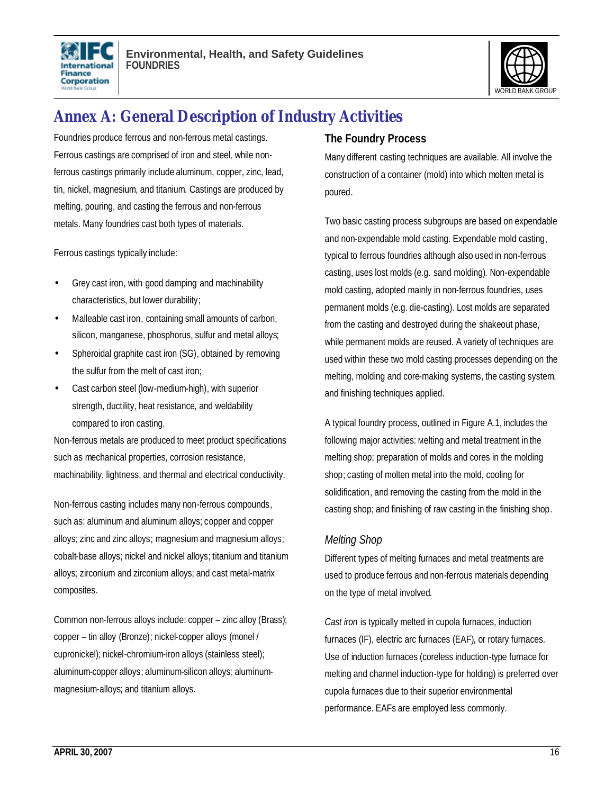



# **Annex A: General Description of Industry Activities**

Foundries produce ferrous and non-ferrous metal castings. Ferrous castings are comprised of iron and steel, while nonferrous castings primarily include aluminum, copper, zinc, lead, tin, nickel, magnesium, and titanium. Castings are produced by melting, pouring, and casting the ferrous and non-ferrous metals. Many foundries cast both types of materials.

Ferrous castings typically include:

- Grey cast iron, with good damping and machinability characteristics, but lower durability;
- Malleable cast iron, containing small amounts of carbon, silicon, manganese, phosphorus, sulfur and metal alloys;
- Spheroidal graphite cast iron (SG), obtained by removing the sulfur from the melt of cast iron;
- Cast carbon steel (low-medium-high), with superior strength, ductility, heat resistance, and weldability compared to iron casting.

Non-ferrous metals are produced to meet product specifications such as mechanical properties, corrosion resistance, machinability, lightness, and thermal and electrical conductivity.

Non-ferrous casting includes many non-ferrous compounds, such as: aluminum and aluminum alloys; copper and copper alloys; zinc and zinc alloys; magnesium and magnesium alloys; cobalt-base alloys; nickel and nickel alloys; titanium and titanium alloys; zirconium and zirconium alloys; and cast metal-matrix composites.

Common non-ferrous alloys include: copper – zinc alloy (Brass); copper – tin alloy (Bronze); nickel-copper alloys (monel / cupronickel); nickel-chromium-iron alloys (stainless steel); aluminum-copper alloys; aluminum-silicon alloys; aluminummagnesium-alloys; and titanium alloys.

#### **The Foundry Process**

Many different casting techniques are available. All involve the construction of a container (mold) into which molten metal is poured.

Two basic casting process subgroups are based on expendable and non-expendable mold casting. Expendable mold casting, typical to ferrous foundries although also used in non-ferrous casting, uses lost molds (e.g. sand molding). Non-expendable mold casting, adopted mainly in non-ferrous foundries, uses permanent molds (e.g. die-casting). Lost molds are separated from the casting and destroyed during the shakeout phase, while permanent molds are reused. A variety of techniques are used within these two mold casting processes depending on the melting, molding and core-making systems, the casting system, and finishing techniques applied.

A typical foundry process, outlined in Figure A.1, includes the following major activities: Melting and metal treatment in the melting shop; preparation of molds and cores in the molding shop; casting of molten metal into the mold, cooling for solidification, and removing the casting from the mold in the casting shop; and finishing of raw casting in the finishing shop.

#### *Melting Shop*

Different types of melting furnaces and metal treatments are used to produce ferrous and non-ferrous materials depending on the type of metal involved.

*Cast iron* is typically melted in cupola furnaces, induction furnaces (IF), electric arc furnaces (EAF), or rotary furnaces. Use of induction furnaces (coreless induction-type furnace for melting and channel induction-type for holding) is preferred over cupola furnaces due to their superior environmental performance. EAFs are employed less commonly.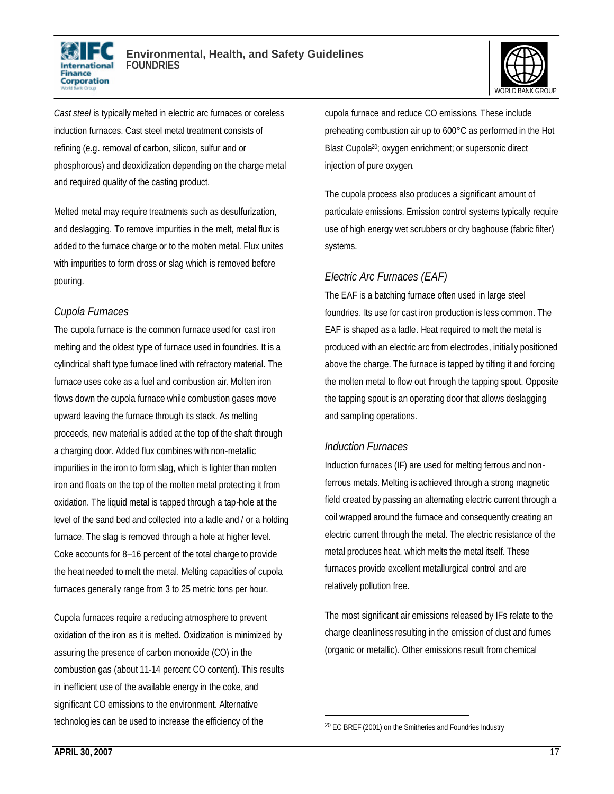



*Cast steel* is typically melted in electric arc furnaces or coreless induction furnaces. Cast steel metal treatment consists of refining (e.g. removal of carbon, silicon, sulfur and or phosphorous) and deoxidization depending on the charge metal and required quality of the casting product.

Melted metal may require treatments such as desulfurization, and deslagging. To remove impurities in the melt, metal flux is added to the furnace charge or to the molten metal. Flux unites with impurities to form dross or slag which is removed before pouring.

#### *Cupola Furnaces*

The cupola furnace is the common furnace used for cast iron melting and the oldest type of furnace used in foundries. It is a cylindrical shaft type furnace lined with refractory material. The furnace uses coke as a fuel and combustion air. Molten iron flows down the cupola furnace while combustion gases move upward leaving the furnace through its stack. As melting proceeds, new material is added at the top of the shaft through a charging door. Added flux combines with non-metallic impurities in the iron to form slag, which is lighter than molten iron and floats on the top of the molten metal protecting it from oxidation. The liquid metal is tapped through a tap-hole at the level of the sand bed and collected into a ladle and / or a holding furnace. The slag is removed through a hole at higher level. Coke accounts for 8–16 percent of the total charge to provide the heat needed to melt the metal. Melting capacities of cupola furnaces generally range from 3 to 25 metric tons per hour.

Cupola furnaces require a reducing atmosphere to prevent oxidation of the iron as it is melted. Oxidization is minimized by assuring the presence of carbon monoxide (CO) in the combustion gas (about 11-14 percent CO content). This results in inefficient use of the available energy in the coke, and significant CO emissions to the environment. Alternative technologies can be used to increase the efficiency of the

cupola furnace and reduce CO emissions. These include preheating combustion air up to 600°C as performed in the Hot Blast Cupola20; oxygen enrichment; or supersonic direct injection of pure oxygen.

The cupola process also produces a significant amount of particulate emissions. Emission control systems typically require use of high energy wet scrubbers or dry baghouse (fabric filter) systems.

# *Electric Arc Furnaces (EAF)*

The EAF is a batching furnace often used in large steel foundries. Its use for cast iron production is less common. The EAF is shaped as a ladle. Heat required to melt the metal is produced with an electric arc from electrodes, initially positioned above the charge. The furnace is tapped by tilting it and forcing the molten metal to flow out through the tapping spout. Opposite the tapping spout is an operating door that allows deslagging and sampling operations.

## *Induction Furnaces*

Induction furnaces (IF) are used for melting ferrous and nonferrous metals. Melting is achieved through a strong magnetic field created by passing an alternating electric current through a coil wrapped around the furnace and consequently creating an electric current through the metal. The electric resistance of the metal produces heat, which melts the metal itself. These furnaces provide excellent metallurgical control and are relatively pollution free.

The most significant air emissions released by IFs relate to the charge cleanliness resulting in the emission of dust and fumes (organic or metallic). Other emissions result from chemical

<sup>20</sup> EC BREF (2001) on the Smitheries and Foundries Industry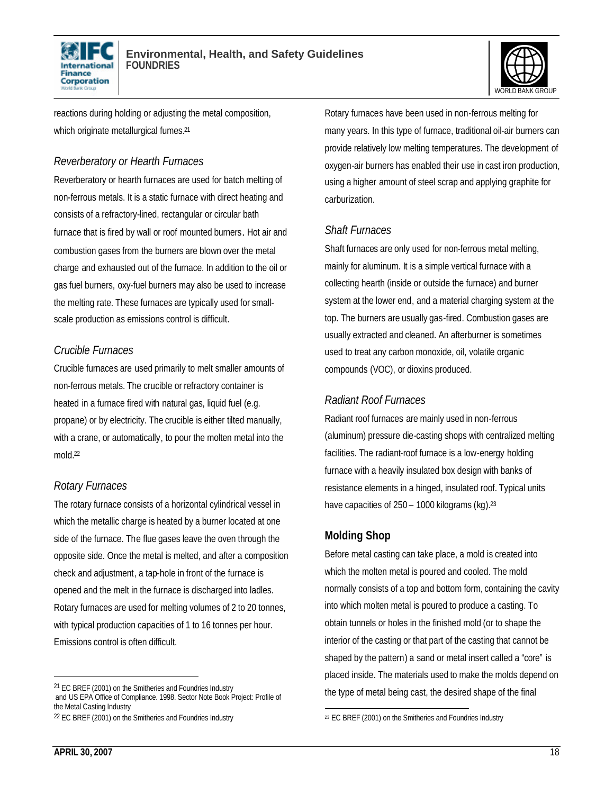



reactions during holding or adjusting the metal composition, which originate metallurgical fumes.<sup>21</sup>

#### *Reverberatory or Hearth Furnaces*

Reverberatory or hearth furnaces are used for batch melting of non-ferrous metals. It is a static furnace with direct heating and consists of a refractory-lined, rectangular or circular bath furnace that is fired by wall or roof mounted burners. Hot air and combustion gases from the burners are blown over the metal charge and exhausted out of the furnace. In addition to the oil or gas fuel burners, oxy-fuel burners may also be used to increase the melting rate. These furnaces are typically used for smallscale production as emissions control is difficult.

## *Crucible Furnaces*

Crucible furnaces are used primarily to melt smaller amounts of non-ferrous metals. The crucible or refractory container is heated in a furnace fired with natural gas, liquid fuel (e.g. propane) or by electricity. The crucible is either tilted manually, with a crane, or automatically, to pour the molten metal into the mold.<sup>22</sup>

## *Rotary Furnaces*

The rotary furnace consists of a horizontal cylindrical vessel in which the metallic charge is heated by a burner located at one side of the furnace. The flue gases leave the oven through the opposite side. Once the metal is melted, and after a composition check and adjustment, a tap-hole in front of the furnace is opened and the melt in the furnace is discharged into ladles. Rotary furnaces are used for melting volumes of 2 to 20 tonnes, with typical production capacities of 1 to 16 tonnes per hour. Emissions control is often difficult.

Rotary furnaces have been used in non-ferrous melting for many years. In this type of furnace, traditional oil-air burners can provide relatively low melting temperatures. The development of oxygen-air burners has enabled their use in cast iron production, using a higher amount of steel scrap and applying graphite for carburization.

#### *Shaft Furnaces*

Shaft furnaces are only used for non-ferrous metal melting, mainly for aluminum. It is a simple vertical furnace with a collecting hearth (inside or outside the furnace) and burner system at the lower end, and a material charging system at the top. The burners are usually gas-fired. Combustion gases are usually extracted and cleaned. An afterburner is sometimes used to treat any carbon monoxide, oil, volatile organic compounds (VOC), or dioxins produced.

#### *Radiant Roof Furnaces*

Radiant roof furnaces are mainly used in non-ferrous (aluminum) pressure die-casting shops with centralized melting facilities. The radiant-roof furnace is a low-energy holding furnace with a heavily insulated box design with banks of resistance elements in a hinged, insulated roof. Typical units have capacities of 250 – 1000 kilograms (kg).<sup>23</sup>

## **Molding Shop**

Before metal casting can take place, a mold is created into which the molten metal is poured and cooled. The mold normally consists of a top and bottom form, containing the cavity into which molten metal is poured to produce a casting. To obtain tunnels or holes in the finished mold (or to shape the interior of the casting or that part of the casting that cannot be shaped by the pattern) a sand or metal insert called a "core" is placed inside. The materials used to make the molds depend on the type of metal being cast, the desired shape of the final

<sup>21</sup> EC BREF (2001) on the Smitheries and Foundries Industry and US EPA Office of Compliance. 1998. Sector Note Book Project: Profile of the Metal Casting Industry

<sup>22</sup> EC BREF (2001) on the Smitheries and Foundries Industry

 $\overline{a}$ 23 EC BREF (2001) on the Smitheries and Foundries Industry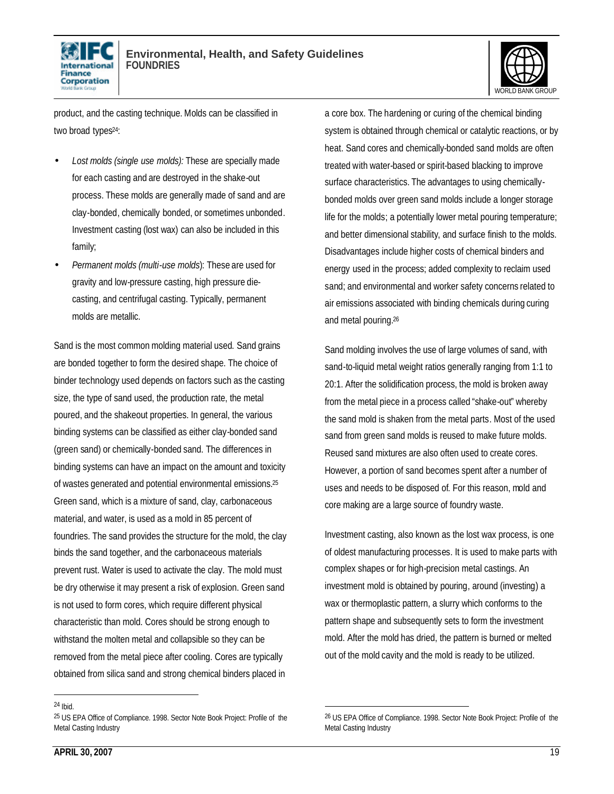



product, and the casting technique. Molds can be classified in two broad types<sup>24</sup>:

- *Lost molds (single use molds):* These are specially made for each casting and are destroyed in the shake-out process. These molds are generally made of sand and are clay-bonded, chemically bonded, or sometimes unbonded. Investment casting (lost wax) can also be included in this family;
- *Permanent molds (multi-use molds*): These are used for gravity and low-pressure casting, high pressure diecasting, and centrifugal casting. Typically, permanent molds are metallic.

Sand is the most common molding material used. Sand grains are bonded together to form the desired shape. The choice of binder technology used depends on factors such as the casting size, the type of sand used, the production rate, the metal poured, and the shakeout properties. In general, the various binding systems can be classified as either clay-bonded sand (green sand) or chemically-bonded sand. The differences in binding systems can have an impact on the amount and toxicity of wastes generated and potential environmental emissions.<sup>25</sup> Green sand, which is a mixture of sand, clay, carbonaceous material, and water, is used as a mold in 85 percent of foundries. The sand provides the structure for the mold, the clay binds the sand together, and the carbonaceous materials prevent rust. Water is used to activate the clay. The mold must be dry otherwise it may present a risk of explosion. Green sand is not used to form cores, which require different physical characteristic than mold. Cores should be strong enough to withstand the molten metal and collapsible so they can be removed from the metal piece after cooling. Cores are typically obtained from silica sand and strong chemical binders placed in

system is obtained through chemical or catalytic reactions, or by heat. Sand cores and chemically-bonded sand molds are often treated with water-based or spirit-based blacking to improve surface characteristics. The advantages to using chemicallybonded molds over green sand molds include a longer storage life for the molds; a potentially lower metal pouring temperature; and better dimensional stability, and surface finish to the molds. Disadvantages include higher costs of chemical binders and energy used in the process; added complexity to reclaim used sand; and environmental and worker safety concerns related to air emissions associated with binding chemicals during curing and metal pouring. 26

a core box. The hardening or curing of the chemical binding

Sand molding involves the use of large volumes of sand, with sand-to-liquid metal weight ratios generally ranging from 1:1 to 20:1. After the solidification process, the mold is broken away from the metal piece in a process called "shake-out" whereby the sand mold is shaken from the metal parts. Most of the used sand from green sand molds is reused to make future molds. Reused sand mixtures are also often used to create cores. However, a portion of sand becomes spent after a number of uses and needs to be disposed of. For this reason, mold and core making are a large source of foundry waste.

Investment casting, also known as the lost wax process, is one of oldest manufacturing processes. It is used to make parts with complex shapes or for high-precision metal castings. An investment mold is obtained by pouring, around (investing) a wax or thermoplastic pattern, a slurry which conforms to the pattern shape and subsequently sets to form the investment mold. After the mold has dried, the pattern is burned or melted out of the mold cavity and the mold is ready to be utilized.

l

1

<sup>24</sup> Ibid.

<sup>25</sup> US EPA Office of Compliance. 1998. Sector Note Book Project: Profile of the Metal Casting Industry

<sup>26</sup> US EPA Office of Compliance. 1998. Sector Note Book Project: Profile of the Metal Casting Industry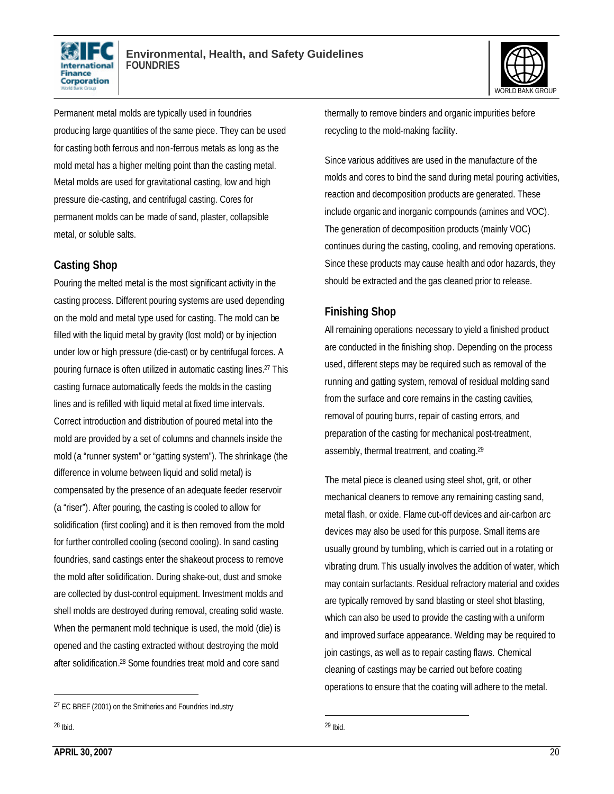



Permanent metal molds are typically used in foundries producing large quantities of the same piece. They can be used for casting both ferrous and non-ferrous metals as long as the mold metal has a higher melting point than the casting metal. Metal molds are used for gravitational casting, low and high pressure die-casting, and centrifugal casting. Cores for permanent molds can be made of sand, plaster, collapsible metal, or soluble salts.

#### **Casting Shop**

Pouring the melted metal is the most significant activity in the casting process. Different pouring systems are used depending on the mold and metal type used for casting. The mold can be filled with the liquid metal by gravity (lost mold) or by injection under low or high pressure (die-cast) or by centrifugal forces. A pouring furnace is often utilized in automatic casting lines.27 This casting furnace automatically feeds the molds in the casting lines and is refilled with liquid metal at fixed time intervals. Correct introduction and distribution of poured metal into the mold are provided by a set of columns and channels inside the mold (a "runner system" or "gatting system"). The shrinkage (the difference in volume between liquid and solid metal) is compensated by the presence of an adequate feeder reservoir (a "riser"). After pouring, the casting is cooled to allow for solidification (first cooling) and it is then removed from the mold for further controlled cooling (second cooling). In sand casting foundries, sand castings enter the shakeout process to remove the mold after solidification. During shake-out, dust and smoke are collected by dust-control equipment. Investment molds and shell molds are destroyed during removal, creating solid waste. When the permanent mold technique is used, the mold (die) is opened and the casting extracted without destroying the mold after solidification. <sup>28</sup> Some foundries treat mold and core sand

l

thermally to remove binders and organic impurities before recycling to the mold-making facility.

Since various additives are used in the manufacture of the molds and cores to bind the sand during metal pouring activities, reaction and decomposition products are generated. These include organic and inorganic compounds (amines and VOC). The generation of decomposition products (mainly VOC) continues during the casting, cooling, and removing operations. Since these products may cause health and odor hazards, they should be extracted and the gas cleaned prior to release.

# **Finishing Shop**

All remaining operations necessary to yield a finished product are conducted in the finishing shop. Depending on the process used, different steps may be required such as removal of the running and gatting system, removal of residual molding sand from the surface and core remains in the casting cavities, removal of pouring burrs, repair of casting errors, and preparation of the casting for mechanical post-treatment, assembly, thermal treatment, and coating.<sup>29</sup>

The metal piece is cleaned using steel shot, grit, or other mechanical cleaners to remove any remaining casting sand, metal flash, or oxide. Flame cut-off devices and air-carbon arc devices may also be used for this purpose. Small items are usually ground by tumbling, which is carried out in a rotating or vibrating drum. This usually involves the addition of water, which may contain surfactants. Residual refractory material and oxides are typically removed by sand blasting or steel shot blasting, which can also be used to provide the casting with a uniform and improved surface appearance. Welding may be required to join castings, as well as to repair casting flaws. Chemical cleaning of castings may be carried out before coating operations to ensure that the coating will adhere to the metal.

<sup>27</sup> EC BREF (2001) on the Smitheries and Foundries Industry

<sup>1</sup>  $29$  Ibid.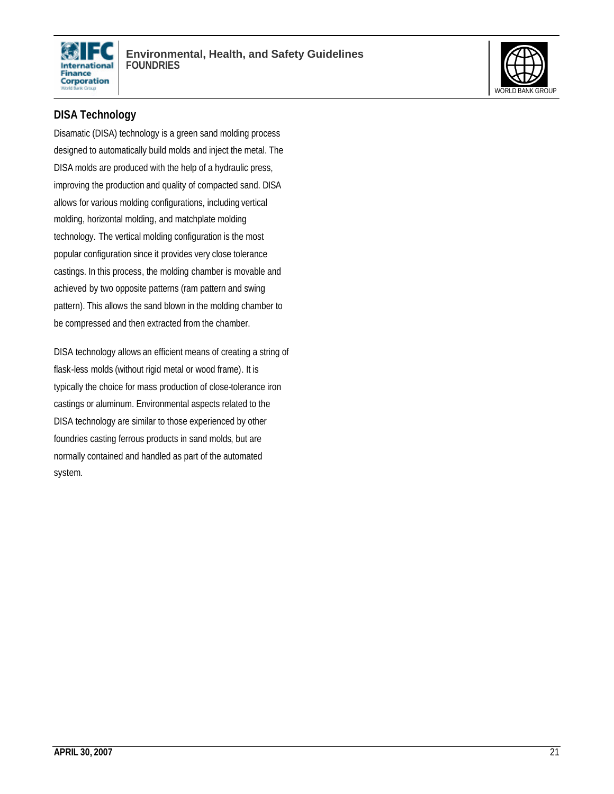



# **DISA Technology**

Disamatic (DISA) technology is a green sand molding process designed to automatically build molds and inject the metal. The DISA molds are produced with the help of a hydraulic press, improving the production and quality of compacted sand. DISA allows for various molding configurations, including vertical molding, horizontal molding, and matchplate molding technology. The vertical molding configuration is the most popular configuration since it provides very close tolerance castings. In this process, the molding chamber is movable and achieved by two opposite patterns (ram pattern and swing pattern). This allows the sand blown in the molding chamber to be compressed and then extracted from the chamber.

DISA technology allows an efficient means of creating a string of flask-less molds (without rigid metal or wood frame). It is typically the choice for mass production of close-tolerance iron castings or aluminum. Environmental aspects related to the DISA technology are similar to those experienced by other foundries casting ferrous products in sand molds, but are normally contained and handled as part of the automated system.